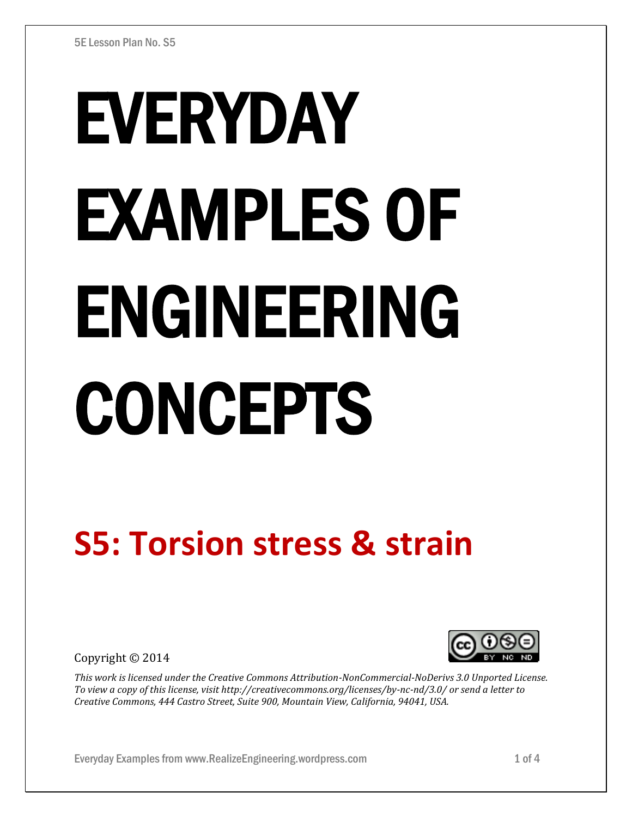# EVERYDAY EXAMPLES OF ENGINEERING CONCEPTS

## **S5: Torsion stress & strain**

Copyright © 2014



*This work is licensed under the Creative Commons Attribution-NonCommercial-NoDerivs 3.0 Unported License. To view a copy of this license, visit http://creativecommons.org/licenses/by-nc-nd/3.0/ or send a letter to Creative Commons, 444 Castro Street, Suite 900, Mountain View, California, 94041, USA.*

Everyday Examples from www.RealizeEngineering.wordpress.com 1 of 4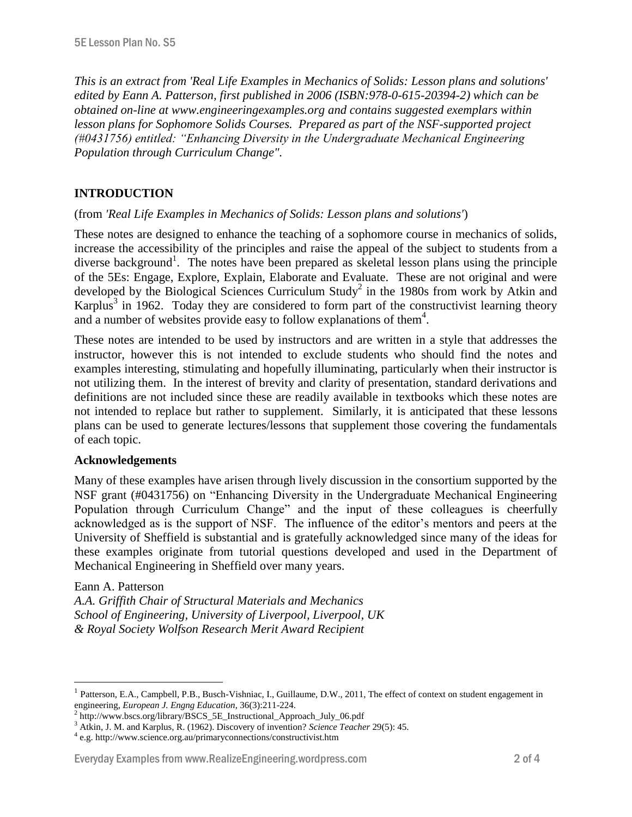*This is an extract from 'Real Life Examples in Mechanics of Solids: Lesson plans and solutions' edited by Eann A. Patterson, first published in 2006 (ISBN:978-0-615-20394-2) which can be obtained on-line at www.engineeringexamples.org and contains suggested exemplars within lesson plans for Sophomore Solids Courses. Prepared as part of the NSF-supported project (#0431756) entitled: "Enhancing Diversity in the Undergraduate Mechanical Engineering Population through Curriculum Change".* 

#### **INTRODUCTION**

#### (from *'Real Life Examples in Mechanics of Solids: Lesson plans and solutions'*)

These notes are designed to enhance the teaching of a sophomore course in mechanics of solids, increase the accessibility of the principles and raise the appeal of the subject to students from a diverse background<sup>1</sup>. The notes have been prepared as skeletal lesson plans using the principle of the 5Es: Engage, Explore, Explain, Elaborate and Evaluate. These are not original and were developed by the Biological Sciences Curriculum Study<sup>2</sup> in the 1980s from work by Atkin and Karplus<sup>3</sup> in 1962. Today they are considered to form part of the constructivist learning theory and a number of websites provide easy to follow explanations of them<sup>4</sup>.

These notes are intended to be used by instructors and are written in a style that addresses the instructor, however this is not intended to exclude students who should find the notes and examples interesting, stimulating and hopefully illuminating, particularly when their instructor is not utilizing them. In the interest of brevity and clarity of presentation, standard derivations and definitions are not included since these are readily available in textbooks which these notes are not intended to replace but rather to supplement. Similarly, it is anticipated that these lessons plans can be used to generate lectures/lessons that supplement those covering the fundamentals of each topic.

#### **Acknowledgements**

Many of these examples have arisen through lively discussion in the consortium supported by the NSF grant (#0431756) on "Enhancing Diversity in the Undergraduate Mechanical Engineering Population through Curriculum Change" and the input of these colleagues is cheerfully acknowledged as is the support of NSF. The influence of the editor's mentors and peers at the University of Sheffield is substantial and is gratefully acknowledged since many of the ideas for these examples originate from tutorial questions developed and used in the Department of Mechanical Engineering in Sheffield over many years.

#### Eann A. Patterson

 $\overline{a}$ 

*A.A. Griffith Chair of Structural Materials and Mechanics School of Engineering, University of Liverpool, Liverpool, UK & Royal Society Wolfson Research Merit Award Recipient*

#### Everyday Examples from www.RealizeEngineering.wordpress.com 2 of 4

<sup>1</sup> Patterson, E.A., Campbell, P.B., Busch-Vishniac, I., Guillaume, D.W., 2011, The effect of context on student engagement in engineering, *European J. Engng Education*, 36(3):211-224.

<sup>&</sup>lt;sup>2</sup> http://www.bscs.org/library/BSCS\_5E\_Instructional\_Approach\_July\_06.pdf

<sup>3</sup> Atkin, J. M. and Karplus, R. (1962). Discovery of invention? *Science Teacher* 29(5): 45.

<sup>4</sup> e.g. http://www.science.org.au/primaryconnections/constructivist.htm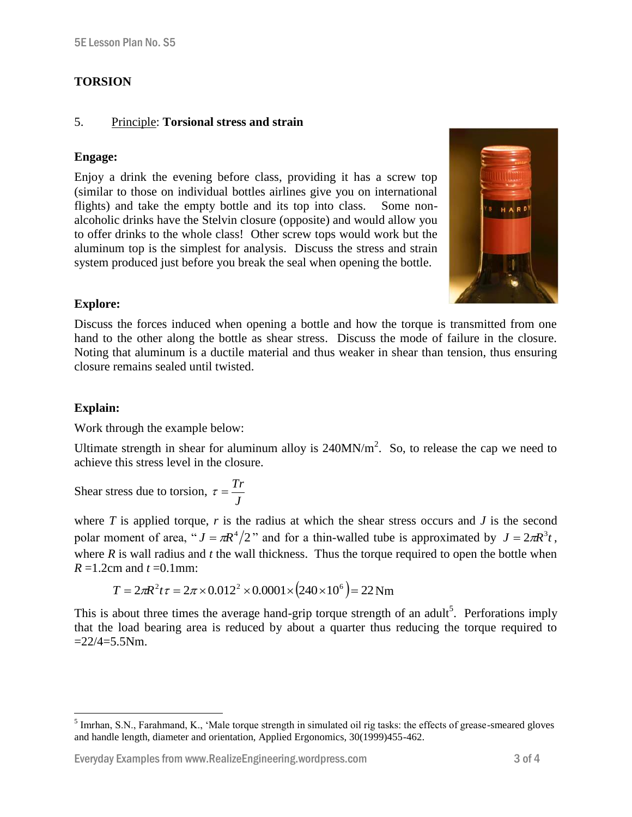### **TORSION**

#### 5. Principle: **Torsional stress and strain**

#### **Engage:**

Enjoy a drink the evening before class, providing it has a screw top (similar to those on individual bottles airlines give you on international flights) and take the empty bottle and its top into class. Some nonalcoholic drinks have the Stelvin closure (opposite) and would allow you to offer drinks to the whole class! Other screw tops would work but the aluminum top is the simplest for analysis. Discuss the stress and strain system produced just before you break the seal when opening the bottle.



#### **Explore:**

Discuss the forces induced when opening a bottle and how the torque is transmitted from one hand to the other along the bottle as shear stress. Discuss the mode of failure in the closure. Noting that aluminum is a ductile material and thus weaker in shear than tension, thus ensuring closure remains sealed until twisted.

#### **Explain:**

Work through the example below:

Ultimate strength in shear for aluminum alloy is  $240MN/m<sup>2</sup>$ . So, to release the cap we need to achieve this stress level in the closure.

Shear stress due to torsion, *J*  $\tau = \frac{Tr}{\sqrt{2}}$ 

where  $T$  is applied torque,  $r$  is the radius at which the shear stress occurs and  $J$  is the second polar moment of area, " $J = \pi R^4/2$ " and for a thin-walled tube is approximated by  $J = 2\pi R^3 t$ , where *R* is wall radius and *t* the wall thickness. Thus the torque required to open the bottle when  $R = 1.2$ cm and  $t = 0.1$ mm:

$$
T = 2\pi R^2 t \tau = 2\pi \times 0.012^2 \times 0.0001 \times (240 \times 10^6) = 22 \text{ Nm}
$$

This is about three times the average hand-grip torque strength of an adult<sup>5</sup>. Perforations imply that the load bearing area is reduced by about a quarter thus reducing the torque required to  $=22/4=5.5$ Nm.

<sup>&</sup>lt;sup>5</sup> Imrhan, S.N., Farahmand, K., 'Male torque strength in simulated oil rig tasks: the effects of grease-smeared gloves and handle length, diameter and orientation, Applied Ergonomics, 30(1999)455-462.